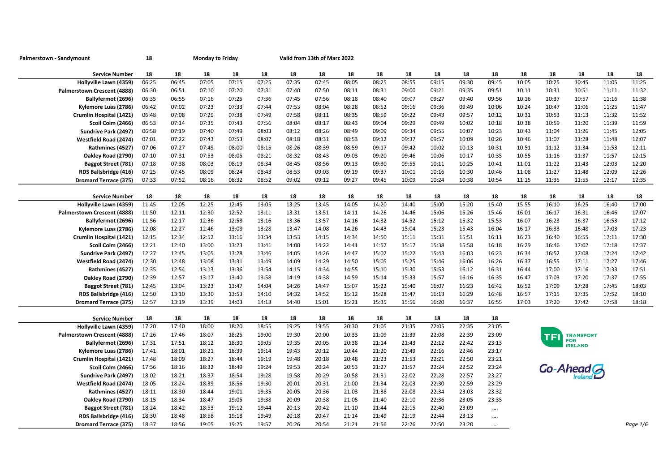| Palmerstown - Sandymount                              | 18             | <b>Monday to Friday</b> |                |                |                |                | Valid from 13th of Marc 2022 |                |                |                |                |                |                |             |                |                              |                |                |
|-------------------------------------------------------|----------------|-------------------------|----------------|----------------|----------------|----------------|------------------------------|----------------|----------------|----------------|----------------|----------------|----------------|-------------|----------------|------------------------------|----------------|----------------|
| <b>Service Number</b>                                 | 18             | 18                      | 18             | 18             | 18             | 18             | 18                           | 18             | 18             | 18             | 18             | 18             | 18             | 18          | 18             | 18                           | 18             | 18             |
| Hollyville Lawn (4359)                                | 06:25          | 06:45                   | 07:05          | 07:15          | 07:25          | 07:35          | 07:45                        | 08:05          | 08:25          | 08:55          | 09:15          | 09:30          | 09:45          | 10:05       | 10:25          | 10:45                        | 11:05          | 11:25          |
| Palmerstown Crescent (4888)                           | 06:30          | 06:51                   | 07:10          | 07:20          | 07:31          | 07:40          | 07:50                        | 08:11          | 08:31          | 09:00          | 09:21          | 09:35          | 09:51          | 10:11       | 10:31          | 10:51                        | 11:11          | 11:32          |
| Ballyfermot (2696)                                    | 06:35          | 06:55                   | 07:16          | 07:25          | 07:36          | 07:45          | 07:56                        | 08:18          | 08:40          | 09:07          | 09:27          | 09:40          | 09:56          | 10:16       | 10:37          | 10:57                        | 11:16          | 11:38          |
| Kylemore Luas (2786)                                  | 06:42          | 07:02                   | 07:23          | 07:33          | 07:44          | 07:53          | 08:04                        | 08:28          | 08:52          | 09:16          | 09:36          | 09:49          | 10:06          | 10:24       | 10:47          | 11:06                        | 11:25          | 11:47          |
| Crumlin Hospital (1421)                               | 06:48          | 07:08                   | 07:29          | 07:38          | 07:49          | 07:58          | 08:11                        | 08:35          | 08:59          | 09:22          | 09:43          | 09:57          | 10:12          | 10:31       | 10:53          | 11:13                        | 11:32          | 11:52          |
| Scoil Colm (2466)                                     | 06:53          | 07:14                   | 07:35          | 07:43          | 07:56          | 08:04          | 08:17                        | 08:43          | 09:04          | 09:29          | 09:49          | 10:02          | 10:18          | 10:38       | 10:59          | 11:20                        | 11:39          | 11:59          |
| Sundrive Park (2497)                                  | 06:58          | 07:19                   | 07:40          | 07:49          | 08:03          | 08:12          | 08:26                        | 08:49          | 09:09          | 09:34          | 09:55          | 10:07          | 10:23          | 10:43       | 11:04          | 11:26                        | 11:45          | 12:05          |
| Westfield Road (2474)                                 | 07:01          | 07:22                   | 07:43          | 07:53          | 08:07          | 08:18          | 08:31                        | 08:53          | 09:12          | 09:37          | 09:57          | 10:09          | 10:26          | 10:46       | 11:07          | 11:28                        | 11:48          | 12:07          |
| Rathmines (4527)                                      | 07:06          | 07:27                   | 07:49          | 08:00          | 08:15          | 08:26          | 08:39                        | 08:59          | 09:17          | 09:42          | 10:02          | 10:13          | 10:31          | 10:51       | 11:12          | 11:34                        | 11:53          | 12:11          |
| Oakley Road (2790)                                    | 07:10          | 07:31                   | 07:53          | 08:05          | 08:21          | 08:32          | 08:43                        | 09:03          | 09:20          | 09:46          | 10:06          | 10:17          | 10:35          | 10:55       | 11:16          | 11:37                        | 11:57          | 12:15          |
| <b>Baggot Street (781)</b>                            | 07:18          | 07:38                   | 08:03          | 08:19          | 08:34          | 08:45          | 08:56                        | 09:13          | 09:30          | 09:55          | 10:11          | 10:25          | 10:41          | 11:01       | 11:22          | 11:43                        | 12:03          | 12:20          |
| RDS Ballsbridge (416)                                 | 07:25          | 07:45                   | 08:09          | 08:24          | 08:43          | 08:53          | 09:03                        | 09:19          | 09:37          | 10:01          | 10:16          | 10:30          | 10:46          | 11:08       | 11:27          | 11:48                        | 12:09          | 12:26          |
| <b>Dromard Terrace (375)</b>                          | 07:33          | 07:52                   | 08:16          | 08:32          | 08:52          | 09:02          | 09:12                        | 09:27          | 09:45          | 10:09          | 10:24          | 10:38          | 10:54          | 11:15       | 11:35          | 11:55                        | 12:17          | 12:35          |
|                                                       |                |                         |                |                |                |                |                              |                |                |                |                |                |                |             |                |                              |                |                |
| <b>Service Number</b>                                 | 18             | 18                      | 18             | 18             | 18             | 18             | 18                           | 18             | 18             | 18             | 18             | 18             | 18             | 18<br>15:55 | 18             | 18                           | 18             | 18             |
| Hollyville Lawn (4359)<br>Palmerstown Crescent (4888) | 11:45<br>11:50 | 12:05<br>12:11          | 12:25<br>12:30 | 12:45<br>12:52 | 13:05<br>13:11 | 13:25<br>13:31 | 13:45<br>13:51               | 14:05<br>14:11 | 14:20<br>14:26 | 14:40<br>14:46 | 15:00<br>15:06 | 15:20<br>15:26 | 15:40<br>15:46 | 16:01       | 16:10<br>16:17 | 16:25<br>16:31               | 16:40<br>16:46 | 17:00<br>17:07 |
| Ballyfermot (2696)                                    | 11:56          | 12:17                   | 12:36          | 12:58          | 13:16          | 13:36          | 13:57                        | 14:16          | 14:32          | 14:52          | 15:12          | 15:32          | 15:53          | 16:07       | 16:23          | 16:37                        | 16:53          | 17:12          |
| Kylemore Luas (2786)                                  | 12:08          | 12:27                   | 12:46          | 13:08          | 13:28          | 13:47          | 14:08                        | 14:26          | 14:43          | 15:04          | 15:23          | 15:43          | 16:04          | 16:17       | 16:33          | 16:48                        | 17:03          | 17:23          |
| Crumlin Hospital (1421)                               | 12:15          | 12:34                   | 12:52          | 13:16          | 13:34          | 13:53          | 14:15                        | 14:34          | 14:50          | 15:11          | 15:31          | 15:51          | 16:11          | 16:23       | 16:40          | 16:55                        | 17:11          | 17:30          |
| Scoil Colm (2466)                                     | 12:21          | 12:40                   | 13:00          | 13:23          | 13:41          | 14:00          | 14:22                        | 14:41          | 14:57          | 15:17          | 15:38          | 15:58          | 16:18          | 16:29       | 16:46          | 17:02                        | 17:18          | 17:37          |
| Sundrive Park (2497)                                  | 12:27          | 12:45                   | 13:05          | 13:28          | 13:46          | 14:05          | 14:26                        | 14:47          | 15:02          | 15:22          | 15:43          | 16:03          | 16:23          | 16:34       | 16:52          | 17:08                        | 17:24          | 17:42          |
| Westfield Road (2474)                                 | 12:30          | 12:48                   | 13:08          | 13:31          | 13:49          | 14:09          | 14:29                        | 14:50          | 15:05          | 15:25          | 15:46          | 16:06          | 16:26          | 16:37       | 16:55          | 17:11                        | 17:27          | 17:46          |
| Rathmines (4527)                                      | 12:35          | 12:54                   | 13:13          | 13:36          | 13:54          | 14:15          | 14:34                        | 14:55          | 15:10          | 15:30          | 15:53          | 16:12          | 16:31          | 16:44       | 17:00          | 17:16                        | 17:33          | 17:51          |
| Oakley Road (2790)                                    | 12:39          | 12:57                   | 13:17          | 13:40          | 13:58          | 14:19          | 14:38                        | 14:59          | 15:14          | 15:33          | 15:57          | 16:16          | 16:35          | 16:47       | 17:03          | 17:20                        | 17:37          | 17:55          |
| <b>Baggot Street (781)</b>                            | 12:45          | 13:04                   | 13:23          | 13:47          | 14:04          | 14:26          | 14:47                        | 15:07          | 15:22          | 15:40          | 16:07          | 16:23          | 16:42          | 16:52       | 17:09          | 17:28                        | 17:45          | 18:03          |
| RDS Ballsbridge (416)                                 | 12:50          | 13:10                   | 13:30          | 13:53          | 14:10          | 14:32          | 14:52                        | 15:12          | 15:28          | 15:47          | 16:13          | 16:29          | 16:48          | 16:57       | 17:15          | 17:35                        | 17:52          | 18:10          |
| <b>Dromard Terrace (375)</b>                          | 12:57          | 13:19                   | 13:39          | 14:03          | 14:18          | 14:40          | 15:01                        | 15:21          | 15:35          | 15:56          | 16:20          | 16:37          | 16:55          | 17:03       | 17:20          | 17:42                        | 17:58          | 18:18          |
|                                                       |                |                         |                |                |                |                |                              |                |                |                |                |                |                |             |                |                              |                |                |
| <b>Service Number</b>                                 | 18             | 18                      | 18             | 18             | 18             | 18             | 18                           | 18             | 18             | 18             | 18             | 18             | 18             |             |                |                              |                |                |
| Hollyville Lawn (4359)                                | 17:20          | 17:40                   | 18:00          | 18:20          | 18:55          | 19:25          | 19:55                        | 20:30          | 21:05          | 21:35          | 22:05          | 22:35          | 23:05          |             |                |                              |                |                |
| Palmerstown Crescent (4888)                           | 17:26          | 17:46                   | 18:07          | 18:25          | 19:00          | 19:30          | 20:00                        | 20:33          | 21:09          | 21:39          | 22:08          | 22:39          | 23:09          |             | TFI            | <b>TRANSPORT</b>             |                |                |
| Ballyfermot (2696)                                    | 17:31          | 17:51                   | 18:12          | 18:30          | 19:05          | 19:35          | 20:05                        | 20:38          | 21:14          | 21:43          | 22:12          | 22:42          | 23:13          |             |                | <b>FOR</b><br><b>IRELAND</b> |                |                |
| Kylemore Luas (2786)                                  | 17:41          | 18:01                   | 18:21          | 18:39          | 19:14          | 19:43          | 20:12                        | 20:44          | 21:20          | 21:49          | 22:16          | 22:46          | 23:17          |             |                |                              |                |                |
| Crumlin Hospital (1421)                               | 17:48          | 18:09                   | 18:27          | 18:44          | 19:19          | 19:48          | 20:18                        | 20:48          | 21:23          | 21:53          | 22:21          | 22:50          | 23:21          |             |                |                              |                |                |
| Scoil Colm (2466)                                     | 17:56          | 18:16                   | 18:32          | 18:49          | 19:24          | 19:53          | 20:24                        | 20:53          | 21:27          | 21:57          | 22:24          | 22:52          | 23:24          |             | Go-Ahead G     |                              |                |                |
| Sundrive Park (2497)                                  | 18:02          | 18:21                   | 18:37          | 18:54          | 19:28          | 19:58          | 20:29                        | 20:58          | 21:31          | 22:02          | 22:28          | 22:57          | 23:27          |             |                |                              |                |                |
| Westfield Road (2474)                                 | 18:05          | 18:24                   | 18:39          | 18:56          | 19:30          | 20:01          | 20:31                        | 21:00          | 21:34          | 22:03          | 22:30          | 22:59          | 23:29          |             |                |                              |                |                |
| Rathmines (4527)                                      | 18:11          | 18:30                   | 18:44          | 19:01          | 19:35          | 20:05          | 20:36                        | 21:03          | 21:38          | 22:08          | 22:34          | 23:03          | 23:32          |             |                |                              |                |                |
| Oakley Road (2790)                                    | 18:15          | 18:34                   | 18:47          | 19:05          | 19:38          | 20:09          | 20:38                        | 21:05          | 21:40          | 22:10          | 22:36          | 23:05          | 23:35          |             |                |                              |                |                |
| Baggot Street (781)                                   | 18:24          | 18:42                   | 18:53          | 19:12          | 19:44          | 20:13          | 20:42                        | 21:10          | 21:44          | 22:15          | 22:40          | 23:09          | $\cdots$       |             |                |                              |                |                |
| RDS Ballsbridge (416)                                 | 18:30          | 18:48                   | 18:58          | 19:18          | 19:49          | 20:18          | 20:47                        | 21:14          | 21:49          | 22:19          | 22:44          | 23:13          | $\cdots$       |             |                |                              |                |                |
| <b>Dromard Terrace (375)</b>                          | 18:37          | 18:56                   | 19:05          | 19:25          | 19:57          | 20:26          | 20:54                        | 21:21          | 21:56          | 22:26          | 22:50          | 23:20          | $\cdots$       |             |                |                              |                | Paae 1/6       |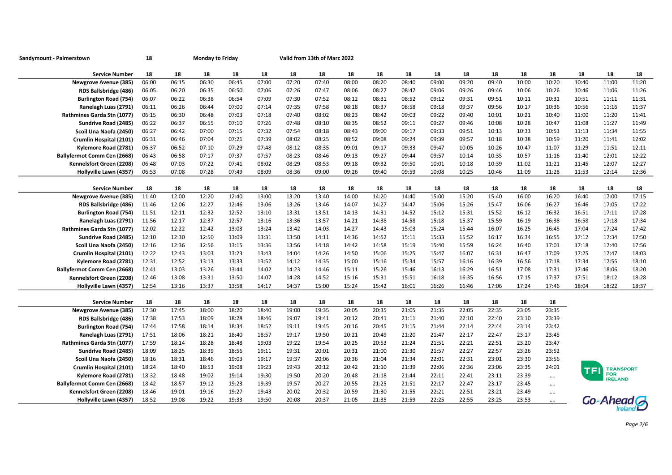| Sandymount - Palmerstown                              | 18    | <b>Monday to Friday</b> |       |       |       |       | Valid from 13th of Marc 2022 |       |       |       |       |       |       |       |                      |       |                  |       |
|-------------------------------------------------------|-------|-------------------------|-------|-------|-------|-------|------------------------------|-------|-------|-------|-------|-------|-------|-------|----------------------|-------|------------------|-------|
| <b>Service Number</b>                                 | 18    | 18                      | 18    | 18    | 18    | 18    | 18                           | 18    | 18    | 18    | 18    | 18    | 18    | 18    | 18                   | 18    | 18               | 18    |
| <b>Newgrove Avenue (385)</b>                          | 06:00 | 06:15                   | 06:30 | 06:45 | 07:00 | 07:20 | 07:40                        | 08:00 | 08:20 | 08:40 | 09:00 | 09:20 | 09:40 | 10:00 | 10:20                | 10:40 | 11:00            | 11:20 |
| RDS Ballsbridge (486)                                 | 06:05 | 06:20                   | 06:35 | 06:50 | 07:06 | 07:26 | 07:47                        | 08:06 | 08:27 | 08:47 | 09:06 | 09:26 | 09:46 | 10:06 | 10:26                | 10:46 | 11:06            | 11:26 |
| <b>Burlington Road (754)</b>                          | 06:07 | 06:22                   | 06:38 | 06:54 | 07:09 | 07:30 | 07:52                        | 08:12 | 08:31 | 08:52 | 09:12 | 09:31 | 09:51 | 10:11 | 10:31                | 10:51 | 11:11            | 11:31 |
| Ranelagh Luas (2791)                                  | 06:11 | 06:26                   | 06:44 | 07:00 | 07:14 | 07:35 | 07:58                        | 08:18 | 08:37 | 08:58 | 09:18 | 09:37 | 09:56 | 10:17 | 10:36                | 10:56 | 11:16            | 11:37 |
| Rathmines Garda Stn (1077)                            | 06:15 | 06:30                   | 06:48 | 07:03 | 07:18 | 07:40 | 08:02                        | 08:23 | 08:42 | 09:03 | 09:22 | 09:40 | 10:01 | 10:21 | 10:40                | 11:00 | 11:20            | 11:41 |
| Sundrive Road (2485)                                  | 06:22 | 06:37                   | 06:55 | 07:10 | 07:26 | 07:48 | 08:10                        | 08:35 | 08:52 | 09:11 | 09:27 | 09:46 | 10:08 | 10:28 | 10:47                | 11:08 | 11:27            | 11:49 |
| Scoil Una Naofa (2450)                                | 06:27 | 06:42                   | 07:00 | 07:15 | 07:32 | 07:54 | 08:18                        | 08:43 | 09:00 | 09:17 | 09:33 | 09:51 | 10:13 | 10:33 | 10:53                | 11:13 | 11:34            | 11:55 |
| Crumlin Hospital (2101)                               | 06:31 | 06:46                   | 07:04 | 07:21 | 07:39 | 08:02 | 08:25                        | 08:52 | 09:08 | 09:24 | 09:39 | 09:57 | 10:18 | 10:38 | 10:59                | 11:20 | 11:41            | 12:02 |
| Kylemore Road (2781)                                  | 06:37 | 06:52                   | 07:10 | 07:29 | 07:48 | 08:12 | 08:35                        | 09:01 | 09:17 | 09:33 | 09:47 | 10:05 | 10:26 | 10:47 | 11:07                | 11:29 | 11:51            | 12:11 |
| Ballyfermot Comm Cen (2668)                           | 06:43 | 06:58                   | 07:17 | 07:37 | 07:57 | 08:23 | 08:46                        | 09:13 | 09:27 | 09:44 | 09:57 | 10:14 | 10:35 | 10:57 | 11:16                | 11:40 | 12:01            | 12:22 |
| Kennelsfort Green (2208)                              | 06:48 | 07:03                   | 07:22 | 07:41 | 08:02 | 08:29 | 08:53                        | 09:18 | 09:32 | 09:50 | 10:01 | 10:18 | 10:39 | 11:02 | 11:21                | 11:45 | 12:07            | 12:27 |
| Hollyville Lawn (4357)                                | 06:53 | 07:08                   | 07:28 | 07:49 | 08:09 | 08:36 | 09:00                        | 09:26 | 09:40 | 09:59 | 10:08 | 10:25 | 10:46 | 11:09 | 11:28                | 11:53 | 12:14            | 12:36 |
|                                                       |       |                         |       |       |       |       |                              |       |       |       |       |       |       |       |                      |       |                  |       |
| <b>Service Number</b>                                 | 18    | 18                      | 18    | 18    | 18    | 18    | 18                           | 18    | 18    | 18    | 18    | 18    | 18    | 18    | 18                   | 18    | 18               | 18    |
| <b>Newgrove Avenue (385)</b>                          | 11:40 | 12:00                   | 12:20 | 12:40 | 13:00 | 13:20 | 13:40                        | 14:00 | 14:20 | 14:40 | 15:00 | 15:20 | 15:40 | 16:00 | 16:20                | 16:40 | 17:00            | 17:15 |
| RDS Ballsbridge (486)                                 | 11:46 | 12:06                   | 12:27 | 12:46 | 13:06 | 13:26 | 13:46                        | 14:07 | 14:27 | 14:47 | 15:06 | 15:26 | 15:47 | 16:06 | 16:27                | 16:46 | 17:05            | 17:22 |
| <b>Burlington Road (754)</b>                          | 11:51 | 12:11                   | 12:32 | 12:52 | 13:10 | 13:31 | 13:51                        | 14:13 | 14:31 | 14:52 | 15:12 | 15:31 | 15:52 | 16:12 | 16:32                | 16:51 | 17:11            | 17:28 |
| Ranelagh Luas (2791)                                  | 11:56 | 12:17                   | 12:37 | 12:57 | 13:16 | 13:36 | 13:57                        | 14:21 | 14:38 | 14:58 | 15:18 | 15:37 | 15:59 | 16:19 | 16:38                | 16:58 | 17:18            | 17:34 |
| Rathmines Garda Stn (1077)                            | 12:02 | 12:22                   | 12:42 | 13:03 | 13:24 | 13:42 | 14:03                        | 14:27 | 14:43 | 15:03 | 15:24 | 15:44 | 16:07 | 16:25 | 16:45                | 17:04 | 17:24            | 17:42 |
| Sundrive Road (2485)                                  | 12:10 | 12:30                   | 12:50 | 13:09 | 13:31 | 13:50 | 14:11                        | 14:36 | 14:52 | 15:11 | 15:33 | 15:52 | 16:17 | 16:34 | 16:55                | 17:12 | 17:34            | 17:50 |
| Scoil Una Naofa (2450)                                | 12:16 | 12:36                   | 12:56 | 13:15 | 13:36 | 13:56 | 14:18                        | 14:42 | 14:58 | 15:19 | 15:40 | 15:59 | 16:24 | 16:40 | 17:01                | 17:18 | 17:40            | 17:56 |
| Crumlin Hospital (2101)                               | 12:22 | 12:43                   | 13:03 | 13:23 | 13:43 | 14:04 | 14:26                        | 14:50 | 15:06 | 15:25 | 15:47 | 16:07 | 16:31 | 16:47 | 17:09                | 17:25 | 17:47            | 18:03 |
| Kylemore Road (2781)                                  | 12:31 | 12:52                   | 13:13 | 13:33 | 13:52 | 14:12 | 14:35                        | 15:00 | 15:16 | 15:34 | 15:57 | 16:16 | 16:39 | 16:56 | 17:18                | 17:34 | 17:55            | 18:10 |
| Ballyfermot Comm Cen (2668)                           | 12:41 | 13:03                   | 13:26 | 13:44 | 14:02 | 14:23 | 14:46                        | 15:11 | 15:26 | 15:46 | 16:13 | 16:29 | 16:51 | 17:08 | 17:31                | 17:46 | 18:06            | 18:20 |
| Kennelsfort Green (2208)                              | 12:46 | 13:08                   | 13:31 | 13:50 | 14:07 | 14:28 | 14:52                        | 15:16 | 15:31 | 15:51 | 16:18 | 16:35 | 16:56 | 17:15 | 17:37                | 17:51 | 18:12            | 18:28 |
| Hollyville Lawn (4357)                                | 12:54 | 13:16                   | 13:37 | 13:58 | 14:17 | 14:37 | 15:00                        | 15:24 | 15:42 | 16:01 | 16:26 | 16:46 | 17:06 | 17:24 | 17:46                | 18:04 | 18:22            | 18:37 |
|                                                       | 18    | 18                      | 18    | 18    | 18    | 18    | 18                           | 18    | 18    | 18    | 18    | 18    | 18    | 18    | 18                   |       |                  |       |
| <b>Service Number</b><br><b>Newgrove Avenue (385)</b> | 17:30 | 17:45                   | 18:00 | 18:20 | 18:40 | 19:00 | 19:35                        | 20:05 | 20:35 | 21:05 | 21:35 | 22:05 | 22:35 | 23:05 | 23:35                |       |                  |       |
| RDS Ballsbridge (486)                                 | 17:38 | 17:53                   | 18:09 | 18:28 | 18:46 | 19:07 | 19:41                        | 20:12 | 20:41 | 21:11 | 21:40 | 22:10 | 22:40 | 23:10 | 23:39                |       |                  |       |
| <b>Burlington Road (754)</b>                          | 17:44 | 17:58                   | 18:14 | 18:34 | 18:52 | 19:11 | 19:45                        | 20:16 | 20:45 | 21:15 | 21:44 | 22:14 | 22:44 | 23:14 | 23:42                |       |                  |       |
| Ranelagh Luas (2791)                                  | 17:51 | 18:06                   | 18:21 | 18:40 | 18:57 | 19:17 | 19:50                        | 20:21 | 20:49 | 21:20 | 21:47 | 22:17 | 22:47 | 23:17 | 23:45                |       |                  |       |
| Rathmines Garda Stn (1077)                            | 17:59 | 18:14                   | 18:28 | 18:48 | 19:03 | 19:22 | 19:54                        | 20:25 | 20:53 | 21:24 | 21:51 | 22:21 | 22:51 | 23:20 | 23:47                |       |                  |       |
| Sundrive Road (2485)                                  | 18:09 | 18:25                   | 18:39 | 18:56 | 19:11 | 19:31 | 20:01                        | 20:31 | 21:00 | 21:30 | 21:57 | 22:27 | 22:57 | 23:26 | 23:52                |       |                  |       |
| Scoil Una Naofa (2450)                                | 18:16 | 18:31                   | 18:46 | 19:03 | 19:17 | 19:37 | 20:06                        | 20:36 | 21:04 | 21:34 | 22:01 | 22:31 | 23:01 | 23:30 | 23:56                |       |                  |       |
| Crumlin Hospital (2101)                               | 18:24 | 18:40                   | 18:53 | 19:08 | 19:23 | 19:43 | 20:12                        | 20:42 | 21:10 | 21:39 | 22:06 | 22:36 | 23:06 | 23:35 | 24:01                |       | <b>TRANSPORT</b> |       |
| Kylemore Road (2781)                                  | 18:32 | 18:48                   | 19:02 | 19:14 | 19:30 | 19:50 | 20:20                        | 20:48 | 21:18 | 21:44 | 22:11 | 22:41 | 23:11 | 23:39 | $\cdots$             |       | <b>FOR</b>       |       |
| Ballyfermot Comm Cen (2668)                           | 18:42 | 18:57                   | 19:12 | 19:23 | 19:39 | 19:57 | 20:27                        | 20:55 | 21:25 | 21:51 | 22:17 | 22:47 | 23:17 | 23:45 | $\cdots$             |       | <b>IRELAND</b>   |       |
| Kennelsfort Green (2208)                              | 18:46 | 19:01                   | 19:16 | 19:27 | 19:43 | 20:02 | 20:32                        | 20:59 | 21:30 | 21:55 | 22:21 | 22:51 | 23:21 | 23:49 |                      |       |                  |       |
| Hollyville Lawn (4357)                                | 18:52 | 19:08                   | 19:22 | 19:33 | 19:50 | 20:08 | 20:37                        | 21:05 | 21:35 | 21:59 | 22:25 | 22:55 | 23:25 | 23:53 | $\cdots$<br>$\cdots$ |       | Go-Ahead         |       |
|                                                       |       |                         |       |       |       |       |                              |       |       |       |       |       |       |       |                      |       |                  |       |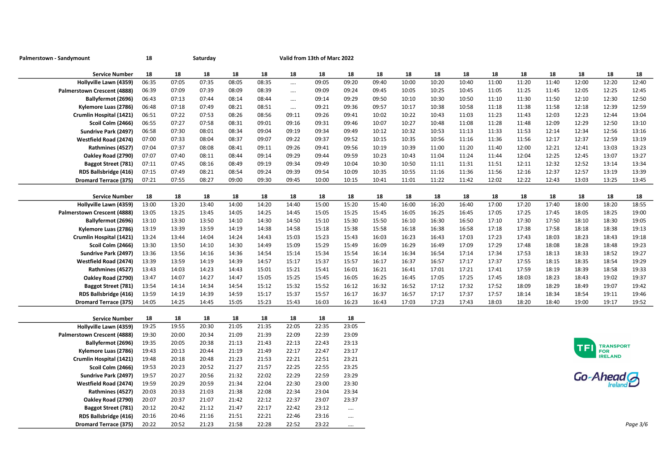| Palmerstown - Sandymount                        | 18          |       | Saturday |             |       |          | Valid from 13th of Marc 2022 |                      |       |       |       |       |       |       |       |       |                  |          |
|-------------------------------------------------|-------------|-------|----------|-------------|-------|----------|------------------------------|----------------------|-------|-------|-------|-------|-------|-------|-------|-------|------------------|----------|
| <b>Service Number</b>                           | 18          | 18    | 18       | 18          | 18    | 18       | 18                           | 18                   | 18    | 18    | 18    | 18    | 18    | 18    | 18    | 18    | 18               | 18       |
| Hollyville Lawn (4359)                          | 06:35       | 07:05 | 07:35    | 08:05       | 08:35 |          | 09:05                        | 09:20                | 09:40 | 10:00 | 10:20 | 10:40 | 11:00 | 11:20 | 11:40 | 12:00 | 12:20            | 12:40    |
| Palmerstown Crescent (4888)                     | 06:39       | 07:09 | 07:39    | 08:09       | 08:39 |          | 09:09                        | 09:24                | 09:45 | 10:05 | 10:25 | 10:45 | 11:05 | 11:25 | 11:45 | 12:05 | 12:25            | 12:45    |
| Ballyfermot (2696)                              | 06:43       | 07:13 | 07:44    | 08:14       | 08:44 | $\cdots$ | 09:14                        | 09:29                | 09:50 | 10:10 | 10:30 | 10:50 | 11:10 | 11:30 | 11:50 | 12:10 | 12:30            | 12:50    |
| Kylemore Luas (2786)                            | 06:48       | 07:18 | 07:49    | 08:21       | 08:51 |          | 09:21                        | 09:36                | 09:57 | 10:17 | 10:38 | 10:58 | 11:18 | 11:38 | 11:58 | 12:18 | 12:39            | 12:59    |
| Crumlin Hospital (1421)                         | 06:51       | 07:22 | 07:53    | 08:26       | 08:56 | 09:11    | 09:26                        | 09:41                | 10:02 | 10:22 | 10:43 | 11:03 | 11:23 | 11:43 | 12:03 | 12:23 | 12:44            | 13:04    |
| Scoil Colm (2466)                               | 06:55       | 07:27 | 07:58    | 08:31       | 09:01 | 09:16    | 09:31                        | 09:46                | 10:07 | 10:27 | 10:48 | 11:08 | 11:28 | 11:48 | 12:09 | 12:29 | 12:50            | 13:10    |
| Sundrive Park (2497)                            | 06:58       | 07:30 | 08:01    | 08:34       | 09:04 | 09:19    | 09:34                        | 09:49                | 10:12 | 10:32 | 10:53 | 11:13 | 11:33 | 11:53 | 12:14 | 12:34 | 12:56            | 13:16    |
| Westfield Road (2474)                           | 07:00       | 07:33 | 08:04    | 08:37       | 09:07 | 09:22    | 09:37                        | 09:52                | 10:15 | 10:35 | 10:56 | 11:16 | 11:36 | 11:56 | 12:17 | 12:37 | 12:59            | 13:19    |
| Rathmines (4527)                                | 07:04       | 07:37 | 08:08    | 08:41       | 09:11 | 09:26    | 09:41                        | 09:56                | 10:19 | 10:39 | 11:00 | 11:20 | 11:40 | 12:00 | 12:21 | 12:41 | 13:03            | 13:23    |
| Oakley Road (2790)                              | 07:07       | 07:40 | 08:11    | 08:44       | 09:14 | 09:29    | 09:44                        | 09:59                | 10:23 | 10:43 | 11:04 | 11:24 | 11:44 | 12:04 | 12:25 | 12:45 | 13:07            | 13:27    |
| <b>Baggot Street (781)</b>                      | 07:11       | 07:45 | 08:16    | 08:49       | 09:19 | 09:34    | 09:49                        | 10:04                | 10:30 | 10:50 | 11:11 | 11:31 | 11:51 | 12:11 | 12:32 | 12:52 | 13:14            | 13:34    |
| RDS Ballsbridge (416)                           | 07:15       | 07:49 | 08:21    | 08:54       | 09:24 | 09:39    | 09:54                        | 10:09                | 10:35 | 10:55 | 11:16 | 11:36 | 11:56 | 12:16 | 12:37 | 12:57 | 13:19            | 13:39    |
| <b>Dromard Terrace (375)</b>                    | 07:21       | 07:55 | 08:27    | 09:00       | 09:30 | 09:45    | 10:00                        | 10:15                | 10:41 | 11:01 | 11:22 | 11:42 | 12:02 | 12:22 | 12:43 | 13:03 | 13:25            | 13:45    |
|                                                 |             |       |          |             |       |          |                              |                      |       |       |       |       |       |       |       |       |                  |          |
| <b>Service Number</b>                           | 18          | 18    | 18       | 18          | 18    | 18       | 18                           | 18                   | 18    | 18    | 18    | 18    | 18    | 18    | 18    | 18    | 18               | 18       |
| Hollyville Lawn (4359)                          | 13:00       | 13:20 | 13:40    | 14:00       | 14:20 | 14:40    | 15:00                        | 15:20                | 15:40 | 16:00 | 16:20 | 16:40 | 17:00 | 17:20 | 17:40 | 18:00 | 18:20            | 18:55    |
| Palmerstown Crescent (4888)                     | 13:05       | 13:25 | 13:45    | 14:05       | 14:25 | 14:45    | 15:05                        | 15:25                | 15:45 | 16:05 | 16:25 | 16:45 | 17:05 | 17:25 | 17:45 | 18:05 | 18:25            | 19:00    |
| Ballyfermot (2696)                              | 13:10       | 13:30 | 13:50    | 14:10       | 14:30 | 14:50    | 15:10                        | 15:30                | 15:50 | 16:10 | 16:30 | 16:50 | 17:10 | 17:30 | 17:50 | 18:10 | 18:30            | 19:05    |
| Kylemore Luas (2786)                            | 13:19       | 13:39 | 13:59    | 14:19       | 14:38 | 14:58    | 15:18                        | 15:38                | 15:58 | 16:18 | 16:38 | 16:58 | 17:18 | 17:38 | 17:58 | 18:18 | 18:38            | 19:13    |
| Crumlin Hospital (1421)                         | 13:24       | 13:44 | 14:04    | 14:24       | 14:43 | 15:03    | 15:23                        | 15:43                | 16:03 | 16:23 | 16:43 | 17:03 | 17:23 | 17:43 | 18:03 | 18:23 | 18:43            | 19:18    |
| Scoil Colm (2466)                               | 13:30       | 13:50 | 14:10    | 14:30       | 14:49 | 15:09    | 15:29                        | 15:49                | 16:09 | 16:29 | 16:49 | 17:09 | 17:29 | 17:48 | 18:08 | 18:28 | 18:48            | 19:23    |
| Sundrive Park (2497)                            | 13:36       | 13:56 | 14:16    | 14:36       | 14:54 | 15:14    | 15:34                        | 15:54                | 16:14 | 16:34 | 16:54 | 17:14 | 17:34 | 17:53 | 18:13 | 18:33 | 18:52            | 19:27    |
| Westfield Road (2474)                           | 13:39       | 13:59 | 14:19    | 14:39       | 14:57 | 15:17    | 15:37                        | 15:57                | 16:17 | 16:37 | 16:57 | 17:17 | 17:37 | 17:55 | 18:15 | 18:35 | 18:54            | 19:29    |
| Rathmines (4527)                                | 13:43       | 14:03 | 14:23    | 14:43       | 15:01 | 15:21    | 15:41                        | 16:01                | 16:21 | 16:41 | 17:01 | 17:21 | 17:41 | 17:59 | 18:19 | 18:39 | 18:58            | 19:33    |
| Oakley Road (2790)                              | 13:47       | 14:07 | 14:27    | 14:47       | 15:05 | 15:25    | 15:45                        | 16:05                | 16:25 | 16:45 | 17:05 | 17:25 | 17:45 | 18:03 | 18:23 | 18:43 | 19:02            | 19:37    |
| Baggot Street (781)                             | 13:54       | 14:14 | 14:34    | 14:54       | 15:12 | 15:32    | 15:52                        | 16:12                | 16:32 | 16:52 | 17:12 | 17:32 | 17:52 | 18:09 | 18:29 | 18:49 | 19:07            | 19:42    |
| RDS Ballsbridge (416)                           | 13:59       | 14:19 | 14:39    | 14:59       | 15:17 | 15:37    | 15:57                        | 16:17                | 16:37 | 16:57 | 17:17 | 17:37 | 17:57 | 18:14 | 18:34 | 18:54 | 19:11            | 19:46    |
| <b>Dromard Terrace (375)</b>                    | 14:05       | 14:25 | 14:45    | 15:05       | 15:23 | 15:43    | 16:03                        | 16:23                | 16:43 | 17:03 | 17:23 | 17:43 | 18:03 | 18:20 | 18:40 | 19:00 | 19:17            | 19:52    |
|                                                 |             | 18    | 18       |             | 18    | 18       |                              |                      |       |       |       |       |       |       |       |       |                  |          |
| <b>Service Number</b><br>Hollyville Lawn (4359) | 18<br>19:25 | 19:55 | 20:30    | 18<br>21:05 | 21:35 | 22:05    | 18<br>22:35                  | 18<br>23:05          |       |       |       |       |       |       |       |       |                  |          |
| Palmerstown Crescent (4888)                     | 19:30       | 20:00 | 20:34    | 21:09       | 21:39 | 22:09    | 22:39                        | 23:09                |       |       |       |       |       |       |       |       |                  |          |
| Ballyfermot (2696)                              | 19:35       | 20:05 | 20:38    | 21:13       | 21:43 | 22:13    | 22:43                        | 23:13                |       |       |       |       |       |       |       |       |                  |          |
| Kylemore Luas (2786)                            | 19:43       | 20:13 | 20:44    | 21:19       | 21:49 | 22:17    | 22:47                        | 23:17                |       |       |       |       |       |       |       | TFI   | <b>TRANSPORT</b> |          |
| Crumlin Hospital (1421)                         | 19:48       | 20:18 | 20:48    | 21:23       | 21:53 | 22:21    | 22:51                        | 23:21                |       |       |       |       |       |       |       |       | FOR<br>IRELAND   |          |
| Scoil Colm (2466)                               | 19:53       | 20:23 | 20:52    | 21:27       | 21:57 | 22:25    | 22:55                        | 23:25                |       |       |       |       |       |       |       |       |                  |          |
| Sundrive Park (2497)                            | 19:57       | 20:27 | 20:56    | 21:32       | 22:02 | 22:29    | 22:59                        | 23:29                |       |       |       |       |       |       |       |       |                  |          |
| Westfield Road (2474)                           | 19:59       | 20:29 | 20:59    | 21:34       | 22:04 | 22:30    | 23:00                        | 23:30                |       |       |       |       |       |       |       |       | Go-Ahead         |          |
| Rathmines (4527)                                | 20:03       | 20:33 | 21:03    | 21:38       | 22:08 | 22:34    | 23:04                        | 23:34                |       |       |       |       |       |       |       |       |                  |          |
| Oakley Road (2790)                              | 20:07       | 20:37 | 21:07    | 21:42       | 22:12 | 22:37    | 23:07                        | 23:37                |       |       |       |       |       |       |       |       |                  |          |
| <b>Baggot Street (781)</b>                      | 20:12       | 20:42 | 21:12    | 21:47       | 22:17 | 22:42    | 23:12                        |                      |       |       |       |       |       |       |       |       |                  |          |
| RDS Ballsbridge (416)                           | 20:16       | 20:46 | 21:16    | 21:51       | 22:21 | 22:46    | 23:16                        | $\cdots$<br>$\cdots$ |       |       |       |       |       |       |       |       |                  |          |
| Dromard Terrace (375)                           | 20:22       | 20:52 | 21:23    | 21:58       | 22:28 | 22:52    | 23:22                        |                      |       |       |       |       |       |       |       |       |                  | Page 3/6 |
|                                                 |             |       |          |             |       |          |                              |                      |       |       |       |       |       |       |       |       |                  |          |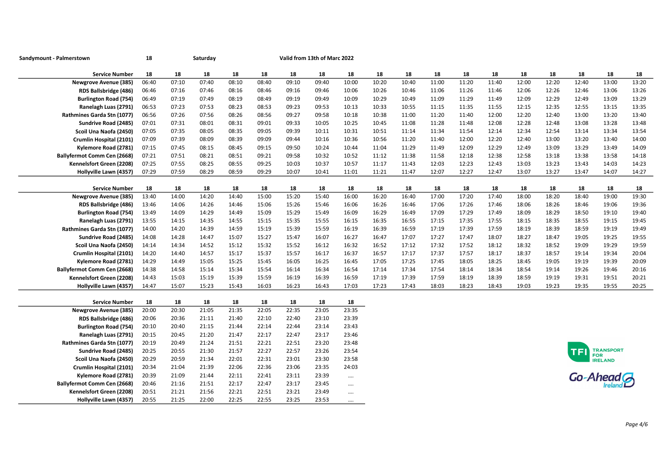| Sandymount - Palmerstown                              | 18          |             | Saturday    |             |             |             | Valid from 13th of Marc 2022 |             |       |       |       |       |       |       |       |            |                                           |       |
|-------------------------------------------------------|-------------|-------------|-------------|-------------|-------------|-------------|------------------------------|-------------|-------|-------|-------|-------|-------|-------|-------|------------|-------------------------------------------|-------|
| <b>Service Number</b>                                 | 18          | 18          | 18          | 18          | 18          | 18          | 18                           | 18          | 18    | 18    | 18    | 18    | 18    | 18    | 18    | 18         | 18                                        | 18    |
| <b>Newgrove Avenue (385)</b>                          | 06:40       | 07:10       | 07:40       | 08:10       | 08:40       | 09:10       | 09:40                        | 10:00       | 10:20 | 10:40 | 11:00 | 11:20 | 11:40 | 12:00 | 12:20 | 12:40      | 13:00                                     | 13:20 |
| RDS Ballsbridge (486)                                 | 06:46       | 07:16       | 07:46       | 08:16       | 08:46       | 09:16       | 09:46                        | 10:06       | 10:26 | 10:46 | 11:06 | 11:26 | 11:46 | 12:06 | 12:26 | 12:46      | 13:06                                     | 13:26 |
| <b>Burlington Road (754)</b>                          | 06:49       | 07:19       | 07:49       | 08:19       | 08:49       | 09:19       | 09:49                        | 10:09       | 10:29 | 10:49 | 11:09 | 11:29 | 11:49 | 12:09 | 12:29 | 12:49      | 13:09                                     | 13:29 |
| Ranelagh Luas (2791)                                  | 06:53       | 07:23       | 07:53       | 08:23       | 08:53       | 09:23       | 09:53                        | 10:13       | 10:33 | 10:55 | 11:15 | 11:35 | 11:55 | 12:15 | 12:35 | 12:55      | 13:15                                     | 13:35 |
| Rathmines Garda Stn (1077)                            | 06:56       | 07:26       | 07:56       | 08:26       | 08:56       | 09:27       | 09:58                        | 10:18       | 10:38 | 11:00 | 11:20 | 11:40 | 12:00 | 12:20 | 12:40 | 13:00      | 13:20                                     | 13:40 |
| Sundrive Road (2485)                                  | 07:01       | 07:31       | 08:01       | 08:31       | 09:01       | 09:33       | 10:05                        | 10:25       | 10:45 | 11:08 | 11:28 | 11:48 | 12:08 | 12:28 | 12:48 | 13:08      | 13:28                                     | 13:48 |
| Scoil Una Naofa (2450)                                | 07:05       | 07:35       | 08:05       | 08:35       | 09:05       | 09:39       | 10:11                        | 10:31       | 10:51 | 11:14 | 11:34 | 11:54 | 12:14 | 12:34 | 12:54 | 13:14      | 13:34                                     | 13:54 |
| Crumlin Hospital (2101)                               | 07:09       | 07:39       | 08:09       | 08:39       | 09:09       | 09:44       | 10:16                        | 10:36       | 10:56 | 11:20 | 11:40 | 12:00 | 12:20 | 12:40 | 13:00 | 13:20      | 13:40                                     | 14:00 |
| Kylemore Road (2781)                                  | 07:15       | 07:45       | 08:15       | 08:45       | 09:15       | 09:50       | 10:24                        | 10:44       | 11:04 | 11:29 | 11:49 | 12:09 | 12:29 | 12:49 | 13:09 | 13:29      | 13:49                                     | 14:09 |
| Ballyfermot Comm Cen (2668)                           | 07:21       | 07:51       | 08:21       | 08:51       | 09:21       | 09:58       | 10:32                        | 10:52       | 11:12 | 11:38 | 11:58 | 12:18 | 12:38 | 12:58 | 13:18 | 13:38      | 13:58                                     | 14:18 |
| Kennelsfort Green (2208)                              | 07:25       | 07:55       | 08:25       | 08:55       | 09:25       | 10:03       | 10:37                        | 10:57       | 11:17 | 11:43 | 12:03 | 12:23 | 12:43 | 13:03 | 13:23 | 13:43      | 14:03                                     | 14:23 |
| Hollyville Lawn (4357)                                | 07:29       | 07:59       | 08:29       | 08:59       | 09:29       | 10:07       | 10:41                        | 11:01       | 11:21 | 11:47 | 12:07 | 12:27 | 12:47 | 13:07 | 13:27 | 13:47      | 14:07                                     | 14:27 |
| <b>Service Number</b>                                 | 18          | 18          | 18          | 18          | 18          | 18          | 18                           | 18          | 18    | 18    | 18    | 18    | 18    | 18    | 18    | 18         | 18                                        | 18    |
| <b>Newgrove Avenue (385)</b>                          | 13:40       | 14:00       | 14:20       | 14:40       | 15:00       | 15:20       | 15:40                        | 16:00       | 16:20 | 16:40 | 17:00 | 17:20 | 17:40 | 18:00 | 18:20 | 18:40      | 19:00                                     | 19:30 |
| RDS Ballsbridge (486)                                 | 13:46       | 14:06       | 14:26       | 14:46       | 15:06       | 15:26       | 15:46                        | 16:06       | 16:26 | 16:46 | 17:06 | 17:26 | 17:46 | 18:06 | 18:26 | 18:46      | 19:06                                     | 19:36 |
| <b>Burlington Road (754)</b>                          | 13:49       | 14:09       | 14:29       | 14:49       | 15:09       | 15:29       | 15:49                        | 16:09       | 16:29 | 16:49 | 17:09 | 17:29 | 17:49 | 18:09 | 18:29 | 18:50      | 19:10                                     | 19:40 |
| Ranelagh Luas (2791)                                  | 13:55       | 14:15       | 14:35       | 14:55       | 15:15       | 15:35       | 15:55                        | 16:15       | 16:35 | 16:55 | 17:15 | 17:35 | 17:55 | 18:15 | 18:35 | 18:55      | 19:15                                     | 19:45 |
| Rathmines Garda Stn (1077)                            | 14:00       | 14:20       | 14:39       | 14:59       | 15:19       | 15:39       | 15:59                        | 16:19       | 16:39 | 16:59 | 17:19 | 17:39 | 17:59 | 18:19 | 18:39 | 18:59      | 19:19                                     | 19:49 |
| Sundrive Road (2485)                                  | 14:08       | 14:28       | 14:47       | 15:07       | 15:27       | 15:47       | 16:07                        | 16:27       | 16:47 | 17:07 | 17:27 | 17:47 | 18:07 | 18:27 | 18:47 | 19:05      | 19:25                                     | 19:55 |
| Scoil Una Naofa (2450)                                | 14:14       | 14:34       | 14:52       | 15:12       | 15:32       | 15:52       | 16:12                        | 16:32       | 16:52 | 17:12 | 17:32 | 17:52 | 18:12 | 18:32 | 18:52 | 19:09      | 19:29                                     | 19:59 |
| Crumlin Hospital (2101)                               | 14:20       | 14:40       | 14:57       | 15:17       | 15:37       | 15:57       | 16:17                        | 16:37       | 16:57 | 17:17 | 17:37 | 17:57 | 18:17 | 18:37 | 18:57 | 19:14      | 19:34                                     | 20:04 |
| Kylemore Road (2781)                                  | 14:29       | 14:49       | 15:05       | 15:25       | 15:45       | 16:05       | 16:25                        | 16:45       | 17:05 | 17:25 | 17:45 | 18:05 | 18:25 | 18:45 | 19:05 | 19:19      | 19:39                                     | 20:09 |
| <b>Ballyfermot Comm Cen (2668)</b>                    | 14:38       | 14:58       | 15:14       | 15:34       | 15:54       | 16:14       | 16:34                        | 16:54       | 17:14 | 17:34 | 17:54 | 18:14 | 18:34 | 18:54 | 19:14 | 19:26      | 19:46                                     | 20:16 |
| Kennelsfort Green (2208)                              | 14:43       | 15:03       | 15:19       | 15:39       | 15:59       | 16:19       | 16:39                        | 16:59       | 17:19 | 17:39 | 17:59 | 18:19 | 18:39 | 18:59 | 19:19 | 19:31      | 19:51                                     | 20:21 |
| Hollyville Lawn (4357)                                | 14:47       | 15:07       | 15:23       | 15:43       | 16:03       | 16:23       | 16:43                        | 17:03       | 17:23 | 17:43 | 18:03 | 18:23 | 18:43 | 19:03 | 19:23 | 19:35      | 19:55                                     | 20:25 |
|                                                       |             |             |             |             |             |             |                              |             |       |       |       |       |       |       |       |            |                                           |       |
| <b>Service Number</b><br><b>Newgrove Avenue (385)</b> | 18<br>20:00 | 18<br>20:30 | 18<br>21:05 | 18<br>21:35 | 18<br>22:05 | 18<br>22:35 | 18<br>23:05                  | 18<br>23:35 |       |       |       |       |       |       |       |            |                                           |       |
| RDS Ballsbridge (486)                                 | 20:06       | 20:36       | 21:11       | 21:40       | 22:10       | 22:40       | 23:10                        | 23:39       |       |       |       |       |       |       |       |            |                                           |       |
| <b>Burlington Road (754)</b>                          | 20:10       | 20:40       | 21:15       | 21:44       | 22:14       | 22:44       | 23:14                        | 23:43       |       |       |       |       |       |       |       |            |                                           |       |
| Ranelagh Luas (2791)                                  | 20:15       | 20:45       | 21:20       | 21:47       | 22:17       | 22:47       | 23:17                        | 23:46       |       |       |       |       |       |       |       |            |                                           |       |
| Rathmines Garda Stn (1077)                            | 20:19       | 20:49       | 21:24       | 21:51       | 22:21       | 22:51       | 23:20                        | 23:48       |       |       |       |       |       |       |       |            |                                           |       |
| Sundrive Road (2485)                                  | 20:25       | 20:55       | 21:30       | 21:57       | 22:27       | 22:57       | 23:26                        | 23:54       |       |       |       |       |       |       |       | <b>TFI</b> |                                           |       |
| Scoil Una Naofa (2450)                                | 20:29       | 20:59       | 21:34       | 22:01       | 22:31       | 23:01       | 23:30                        | 23:58       |       |       |       |       |       |       |       |            | <b>TRANSPORT</b><br>FOR<br><b>IRELAND</b> |       |
| Crumlin Hospital (2101)                               | 20:34       | 21:04       | 21:39       | 22:06       | 22:36       | 23:06       | 23:35                        | 24:03       |       |       |       |       |       |       |       |            |                                           |       |
| Kylemore Road (2781)                                  | 20:39       | 21:09       | 21:44       | 22:11       | 22:41       | 23:11       | 23:39                        | $\cdots$    |       |       |       |       |       |       |       |            |                                           |       |
| <b>Ballyfermot Comm Cen (2668)</b>                    | 20:46       | 21:16       | 21:51       | 22:17       | 22:47       | 23:17       | 23:45                        |             |       |       |       |       |       |       |       | Go-Ahead G |                                           |       |
| Kennelsfort Green (2208)                              | 20:51       | 21:21       | 21:56       | 22:21       | 22:51       | 23:21       | 23:49                        |             |       |       |       |       |       |       |       |            |                                           |       |
| Hollyville Lawn (4357)                                | 20:55       | 21:25       | 22:00       | 22:25       | 22:55       | 23:25       | 23:53                        |             |       |       |       |       |       |       |       |            |                                           |       |
|                                                       |             |             |             |             |             |             |                              |             |       |       |       |       |       |       |       |            |                                           |       |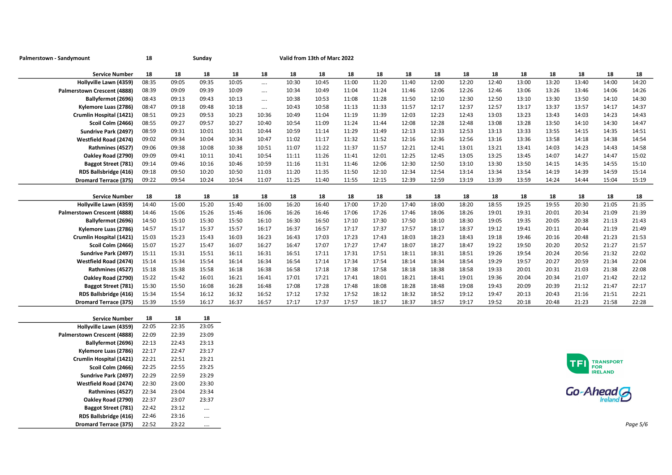| Palmerstown - Sandymount     | 18    |       | Sunday      |       |          |       | Valid from 13th of Marc 2022 |       |       |       |       |       |       |       |       |            |                             |          |
|------------------------------|-------|-------|-------------|-------|----------|-------|------------------------------|-------|-------|-------|-------|-------|-------|-------|-------|------------|-----------------------------|----------|
| <b>Service Number</b>        | 18    | 18    | 18          | 18    | 18       | 18    | 18                           | 18    | 18    | 18    | 18    | 18    | 18    | 18    | 18    | 18         | 18                          | 18       |
| Hollyville Lawn (4359)       | 08:35 | 09:05 | 09:35       | 10:05 | $\cdots$ | 10:30 | 10:45                        | 11:00 | 11:20 | 11:40 | 12:00 | 12:20 | 12:40 | 13:00 | 13:20 | 13:40      | 14:00                       | 14:20    |
| Palmerstown Crescent (4888)  | 08:39 | 09:09 | 09:39       | 10:09 | $\cdots$ | 10:34 | 10:49                        | 11:04 | 11:24 | 11:46 | 12:06 | 12:26 | 12:46 | 13:06 | 13:26 | 13:46      | 14:06                       | 14:26    |
| Ballyfermot (2696)           | 08:43 | 09:13 | 09:43       | 10:13 | $\cdots$ | 10:38 | 10:53                        | 11:08 | 11:28 | 11:50 | 12:10 | 12:30 | 12:50 | 13:10 | 13:30 | 13:50      | 14:10                       | 14:30    |
| Kylemore Luas (2786)         | 08:47 | 09:18 | 09:48       | 10:18 | $\cdots$ | 10:43 | 10:58                        | 11:13 | 11:33 | 11:57 | 12:17 | 12:37 | 12:57 | 13:17 | 13:37 | 13:57      | 14:17                       | 14:37    |
| Crumlin Hospital (1421)      | 08:51 | 09:23 | 09:53       | 10:23 | 10:36    | 10:49 | 11:04                        | 11:19 | 11:39 | 12:03 | 12:23 | 12:43 | 13:03 | 13:23 | 13:43 | 14:03      | 14:23                       | 14:43    |
| Scoil Colm (2466)            | 08:55 | 09:27 | 09:57       | 10:27 | 10:40    | 10:54 | 11:09                        | 11:24 | 11:44 | 12:08 | 12:28 | 12:48 | 13:08 | 13:28 | 13:50 | 14:10      | 14:30                       | 14:47    |
| Sundrive Park (2497)         | 08:59 | 09:31 | 10:01       | 10:31 | 10:44    | 10:59 | 11:14                        | 11:29 | 11:49 | 12:13 | 12:33 | 12:53 | 13:13 | 13:33 | 13:55 | 14:15      | 14:35                       | 14:51    |
| Westfield Road (2474)        | 09:02 | 09:34 | 10:04       | 10:34 | 10:47    | 11:02 | 11:17                        | 11:32 | 11:52 | 12:16 | 12:36 | 12:56 | 13:16 | 13:36 | 13:58 | 14:18      | 14:38                       | 14:54    |
| Rathmines (4527)             | 09:06 | 09:38 | 10:08       | 10:38 | 10:51    | 11:07 | 11:22                        | 11:37 | 11:57 | 12:21 | 12:41 | 13:01 | 13:21 | 13:41 | 14:03 | 14:23      | 14:43                       | 14:58    |
| Oakley Road (2790)           | 09:09 | 09:41 | 10:11       | 10:41 | 10:54    | 11:11 | 11:26                        | 11:41 | 12:01 | 12:25 | 12:45 | 13:05 | 13:25 | 13:45 | 14:07 | 14:27      | 14:47                       | 15:02    |
| Baggot Street (781)          | 09:14 | 09:46 | 10:16       | 10:46 | 10:59    | 11:16 | 11:31                        | 11:46 | 12:06 | 12:30 | 12:50 | 13:10 | 13:30 | 13:50 | 14:15 | 14:35      | 14:55                       | 15:10    |
| RDS Ballsbridge (416)        | 09:18 | 09:50 | 10:20       | 10:50 | 11:03    | 11:20 | 11:35                        | 11:50 | 12:10 | 12:34 | 12:54 | 13:14 | 13:34 | 13:54 | 14:19 | 14:39      | 14:59                       | 15:14    |
| <b>Dromard Terrace (375)</b> | 09:22 | 09:54 | 10:24       | 10:54 | 11:07    | 11:25 | 11:40                        | 11:55 | 12:15 | 12:39 | 12:59 | 13:19 | 13:39 | 13:59 | 14:24 | 14:44      | 15:04                       | 15:19    |
|                              |       |       |             |       |          |       |                              |       |       |       |       |       |       |       |       |            |                             |          |
| <b>Service Number</b>        | 18    | 18    | 18          | 18    | 18       | 18    | 18                           | 18    | 18    | 18    | 18    | 18    | 18    | 18    | 18    | 18         | 18                          | 18       |
| Hollyville Lawn (4359)       | 14:40 | 15:00 | 15:20       | 15:40 | 16:00    | 16:20 | 16:40                        | 17:00 | 17:20 | 17:40 | 18:00 | 18:20 | 18:55 | 19:25 | 19:55 | 20:30      | 21:05                       | 21:35    |
| Palmerstown Crescent (4888)  | 14:46 | 15:06 | 15:26       | 15:46 | 16:06    | 16:26 | 16:46                        | 17:06 | 17:26 | 17:46 | 18:06 | 18:26 | 19:01 | 19:31 | 20:01 | 20:34      | 21:09                       | 21:39    |
| Ballyfermot (2696)           | 14:50 | 15:10 | 15:30       | 15:50 | 16:10    | 16:30 | 16:50                        | 17:10 | 17:30 | 17:50 | 18:10 | 18:30 | 19:05 | 19:35 | 20:05 | 20:38      | 21:13                       | 21:43    |
| Kylemore Luas (2786)         | 14:57 | 15:17 | 15:37       | 15:57 | 16:17    | 16:37 | 16:57                        | 17:17 | 17:37 | 17:57 | 18:17 | 18:37 | 19:12 | 19:41 | 20:11 | 20:44      | 21:19                       | 21:49    |
| Crumlin Hospital (1421)      | 15:03 | 15:23 | 15:43       | 16:03 | 16:23    | 16:43 | 17:03                        | 17:23 | 17:43 | 18:03 | 18:23 | 18:43 | 19:18 | 19:46 | 20:16 | 20:48      | 21:23                       | 21:53    |
| Scoil Colm (2466)            | 15:07 | 15:27 | 15:47       | 16:07 | 16:27    | 16:47 | 17:07                        | 17:27 | 17:47 | 18:07 | 18:27 | 18:47 | 19:22 | 19:50 | 20:20 | 20:52      | 21:27                       | 21:57    |
| Sundrive Park (2497)         | 15:11 | 15:31 | 15:51       | 16:11 | 16:31    | 16:51 | 17:11                        | 17:31 | 17:51 | 18:11 | 18:31 | 18:51 | 19:26 | 19:54 | 20:24 | 20:56      | 21:32                       | 22:02    |
| Westfield Road (2474)        | 15:14 | 15:34 | 15:54       | 16:14 | 16:34    | 16:54 | 17:14                        | 17:34 | 17:54 | 18:14 | 18:34 | 18:54 | 19:29 | 19:57 | 20:27 | 20:59      | 21:34                       | 22:04    |
| Rathmines (4527)             | 15:18 | 15:38 | 15:58       | 16:18 | 16:38    | 16:58 | 17:18                        | 17:38 | 17:58 | 18:18 | 18:38 | 18:58 | 19:33 | 20:01 | 20:31 | 21:03      | 21:38                       | 22:08    |
| Oakley Road (2790)           | 15:22 | 15:42 | 16:01       | 16:21 | 16:41    | 17:01 | 17:21                        | 17:41 | 18:01 | 18:21 | 18:41 | 19:01 | 19:36 | 20:04 | 20:34 | 21:07      | 21:42                       | 22:12    |
| <b>Baggot Street (781)</b>   | 15:30 | 15:50 | 16:08       | 16:28 | 16:48    | 17:08 | 17:28                        | 17:48 | 18:08 | 18:28 | 18:48 | 19:08 | 19:43 | 20:09 | 20:39 | 21:12      | 21:47                       | 22:17    |
| RDS Ballsbridge (416)        | 15:34 | 15:54 | 16:12       | 16:32 | 16:52    | 17:12 | 17:32                        | 17:52 | 18:12 | 18:32 | 18:52 | 19:12 | 19:47 | 20:13 | 20:43 | 21:16      | 21:51                       | 22:21    |
| <b>Dromard Terrace (375)</b> | 15:39 | 15:59 | 16:17       | 16:37 | 16:57    | 17:17 | 17:37                        | 17:57 | 18:17 | 18:37 | 18:57 | 19:17 | 19:52 | 20:18 | 20:48 | 21:23      | 21:58                       | 22:28    |
| <b>Service Number</b>        | 18    | 18    |             |       |          |       |                              |       |       |       |       |       |       |       |       |            |                             |          |
| Hollyville Lawn (4359)       | 22:05 | 22:35 | 18<br>23:05 |       |          |       |                              |       |       |       |       |       |       |       |       |            |                             |          |
| Palmerstown Crescent (4888)  | 22:09 | 22:39 | 23:09       |       |          |       |                              |       |       |       |       |       |       |       |       |            |                             |          |
| Ballyfermot (2696)           | 22:13 | 22:43 | 23:13       |       |          |       |                              |       |       |       |       |       |       |       |       |            |                             |          |
| Kylemore Luas (2786)         | 22:17 | 22:47 | 23:17       |       |          |       |                              |       |       |       |       |       |       |       |       |            |                             |          |
| Crumlin Hospital (1421)      | 22:21 | 22:51 | 23:21       |       |          |       |                              |       |       |       |       |       |       |       |       |            |                             |          |
| Scoil Colm (2466)            | 22:25 | 22:55 | 23:25       |       |          |       |                              |       |       |       |       |       |       |       |       | <b>TFI</b> | TRANSPORT<br>FOR<br>IRELAND |          |
| Sundrive Park (2497)         | 22:29 | 22:59 | 23:29       |       |          |       |                              |       |       |       |       |       |       |       |       |            |                             |          |
| Westfield Road (2474)        | 22:30 | 23:00 | 23:30       |       |          |       |                              |       |       |       |       |       |       |       |       |            |                             |          |
| Rathmines (4527)             | 22:34 | 23:04 | 23:34       |       |          |       |                              |       |       |       |       |       |       |       |       |            |                             |          |
| Oakley Road (2790)           | 22:37 | 23:07 | 23:37       |       |          |       |                              |       |       |       |       |       |       |       |       | Go-Ahead G |                             |          |
| Baggot Street (781)          | 22:42 | 23:12 |             |       |          |       |                              |       |       |       |       |       |       |       |       |            |                             |          |
| RDS Ballsbridge (416)        | 22:46 | 23:16 | $\cdots$    |       |          |       |                              |       |       |       |       |       |       |       |       |            |                             |          |
| <b>Dromard Terrace (375)</b> | 22:52 | 23:22 | $\cdots$    |       |          |       |                              |       |       |       |       |       |       |       |       |            |                             | Page 5/6 |
|                              |       |       |             |       |          |       |                              |       |       |       |       |       |       |       |       |            |                             |          |